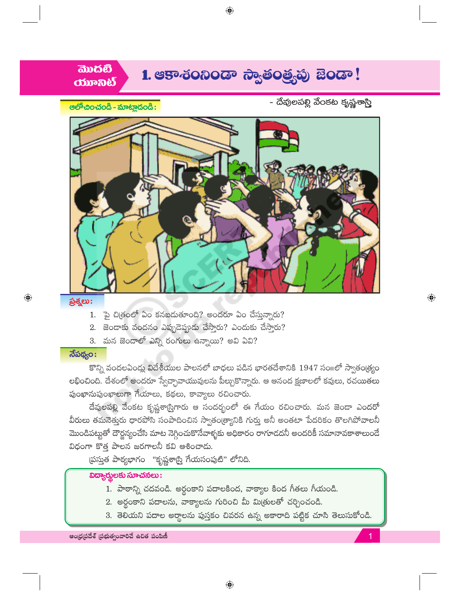



ప్రశ్నలు:

 $\bigoplus$ 

ಆಲ್ಕೌರಿಂ-ನಂಡಿ - ಮಾಟ್ಲಾದಂಡಿ:

- 1. పై చిత్రంలో ఏం కనబడుతూంది? అందరూ ఏం చేస్తున్నారు?
- 2. జెండాకు వందనం ఎప్పుడెప్తుడు చేస్తారు? ఎందుకు చేస్తారు?
- 3. మన జెండాలో ఎన్ని రంగులు ఉన్నాయి? అవి ఏవి?

## $\overline{\mathfrak{J}}$ పథ్యం:

కొన్ని వందలఏండ్లు విదేశీయుల పాలనలో బాధలు పడిన భారతదేశానికి 1947 సంగలో స్వాతంత్ర్యం లభించింది. దేశంలో అందరూ స్వేచ్చావాయువులను పీల్చుకొన్నారు. ఆ ఆనంద క్షణాలలో కవులు, రచయితలు పుంఖానుపుంఖాలుగా గేయాలు, కథలు, కావ్యాలు రచించారు.

దేవులపల్లి వేంకట కృష్ణశాస్త్రిగారు ఆ సందర్భంలో ఈ గేయం రచించారు. మన జెండా ఎందరో వీరులు తమనెత్తురు ధారపోసి సంపాదించిన స్వాతం(త్యానికి గుర్తు అనీ అంతటా పేదరికం తొలగిపోవాలనీ మొండిపట్టుతో దౌర్జన్యంచేసి మాట నెగ్గించుకొనేవాళ్ళకు అధికారం రాగూడదనీ అందరికీ సమానావకాశాలుందే విధంగా కొత్త పాలన జరగాలనీ కవి ఆశించాడు.

స్రస్తుత పాఠ్యభాగం "కృష్ణశాస్త్రి గేయసంపుటి" లోనిది.

## $\overline{\text{log}}$ တ္တပ္ကေပးသား $\overline{\text{log}}$

- 1. పాఠాన్ని చదవండి. అర్థంకాని పదాలకింద, వాక్యాల కింద గీతలు గీయండి.
- 2. అర్థంకాని పదాలను, వాక్యాలను గురించి మీ మిత్రులతో చర్చించండి.
- 3. తెలియని పదాల అర్థాలను పుస్తకం చివరన ఉన్న అకారాది పట్టిక చూసి తెలుసుకోండి.

 $\bigoplus$ 

ఆంధ్రప్రదేశ్ (పభుత్వంవారిచే ఉచిత పంపిణీ

 $\bigoplus$ 

- దేవులపల్లి వేంకట కృష్ణశాస్త్రి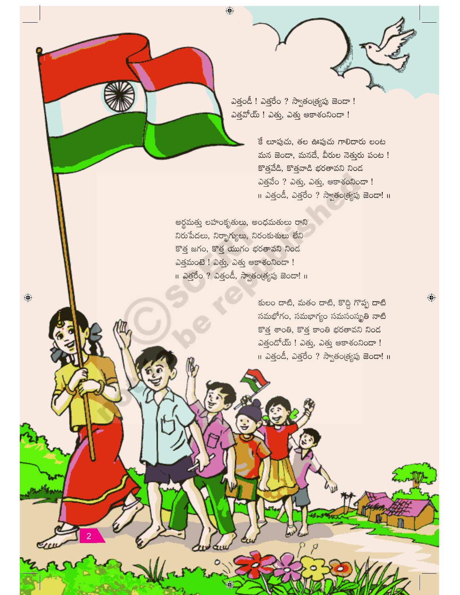ఎత్తండీ ! ఎత్తరేం ? స్వాతం(త్యపు జెండా ! ఎత్తవోయ్ ! ఎత్తు, ఎత్తు ఆకాశంనిందా !

> కే లూపుచు, తల ఊపుచు గాలిదారు లంట మన జెండా, మనదే, వీరుల నెతురు పంట ! కొత్తవేడి, కొత్తవాడి భరతావని నింద ఎత్తవేం ? ఎత్తు, ఎత్తు, ఆకాశంనిండా ! <mark>11 ఎత్తండీ, ఎత్తరేం ? స్వాతం(త్యపు జెండా! 11</mark>

అర్థమత్తు లహంకృతులు, అంధమతులు రాని నిరుపేదలు, నిర్భాగ్యులు, నిరంకుశులు లేని కొత్త జగం, కొత్త యుగం భరతావని నిండ வத்தில் ! வது, வது சூசல்லி **။ ఎత్తరేం ? ఎత్తండీ, స్వాతండ్యపు జెం**డా! ။

 $\bigoplus$ 

 $\bigoplus$ 

కులం దాటి, మతం దాటి, కొద్ది గొప్ప దాటి సమభోగం, సమభాగ్యం సమసంస్థ్రతి నాటి కొత్త శాంతి, కొత్త కాంతి భరతావని నిండ  $\omega$ త్తందోయ్ ! ఎత్తు, ఎత్తు ఆకాశంనిందా ! ။ ఎత్తండీ, ఎత్తరేం ? స్వాతం(త్యపు జెండా! ။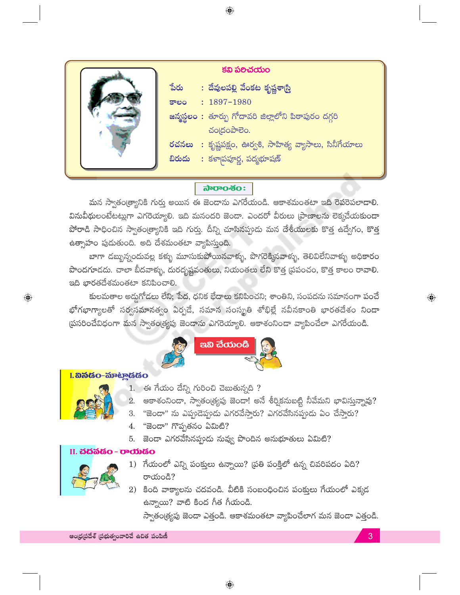

 $\bigoplus$ 

#### ನಾರಾಂಸಂ:

మన స్వాతం(త్యానికి గుర్తు అయిన ఈ జెండాను ఎగరేయండి. ఆకాశమంతటా ఇది రెవరెపలాడాలి. వినువీథులంటేటట్లుగా ఎగరెయ్యాలి. ఇది మనందరి జెండా. ఎందరో వీరులు (పాణాలను లెక్కచేయకుండా పోరాడి సాధించిన స్వాతం(త్యానికి ఇది గుర్తు. దీన్ని చూసినప్పుడు మన దేశీయులకు కొత్త ఉద్వేగం, కొత్త ఉత్సాహం పుడుతుంది. అది దేశమంతటా వ్యాపిస్తుంది.

బాగా డబ్బున్నందువల్ల కళ్ళు మూసుకుపోయినవాళ్ళు, పొగరెక్కినవాళ్ళు, తెలివిలేనివాళ్ళు అధికారం పొందగూడదు. చాలా బీదవాళ్ళు, దురదృష్టవంతులు, నియంతలు లేని కొత్త (పపంచం, కొత్త కాలం రావాలి. ఇది భారతదేశమంతటా కనిపించాలి.

కులమతాల అడ్డుగోడలు లేని; పేద, ధనిక భేదాలు కనిపించని; శాంతిని, సంపదను సమానంగా పంచే భోగభాగ్యాలతో సర్వసమానత్వం ఏర్పడే, సమాన సంస్మృతి శోభిల్లే నవీనకాంతి భారతదేశం నిండా ప్రసరించేవిధంగా మన స్వాతండ్యపు జెండాను ఎగరెయ్యాలి. ఆకాశంనిండా వ్యాపించేలా ఎగరేయండి.



# L ando-mento



 $\bigoplus$ 

- 1. ఈ గేయం దేన్ని గురించి చెబుతున్నది ?
- 2. ఆకాశంనిందా, స్వాతండ్ర్యపు జెండా! అనే శీర్షికనుబట్టి నీవేమని భావిస్తున్నావు?
- 3. "జెండా" ను ఎప్పుడెప్పుడు ఎగరవేస్తారు? ఎగరవేసినప్పుడు ఏం చేస్తారు?
- 4. "జెండా" గొప్పతనం ఏమిటి?
- 5. జెండా ఎగరవేసినప్పుడు నువ్వు పొందిన అనుభూతులు ఏమిటి?

#### II. చదవడం - రాయడం



- 1) గేయంలో ఎన్ని పంక్తులు ఉన్నాయి? (పతి పంక్తిలో ఉన్న చివరిపదం ఏది? రాయండి?
- 2) కింది వాక్యాలను చదవండి. వీటికి సంబంధించిన పంక్తులు గేయంలో ఎక్కడ ఉన్నాయి? వాటి కింద గీత గీయండి.

స్వాతం(త్యపు జెండా ఎత్తండి. ఆకాశమంతటా వ్యాపించేలాగ మన జెండా ఎత్తండి.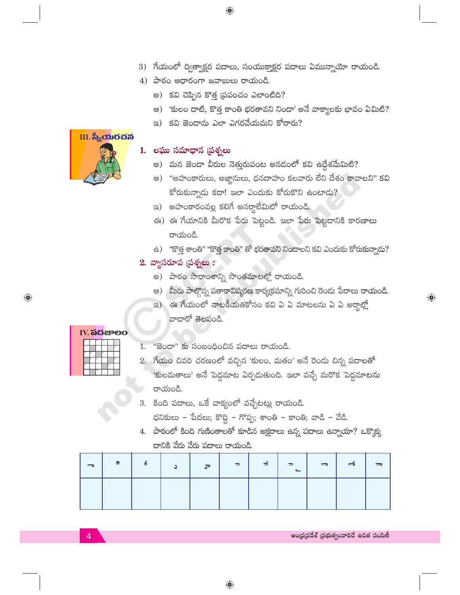- 3) గేయంలో ద్విత్వాక్షర పదాలు, సంయుక్తాక్షర పదాలు ఏమున్నాయో రాయండి.
- $4)$  పాఠం ఆధారంగా జవాబులు రాయండి.
	- అ) కవి చెప్పిన కొత్త (పపంచం ఎలాంటిది?
	- అ) 'కులం దాటి, కొత్త కాంతి భరతావని నిందా' అనే వాక్యాలకు భావం ఏమిటి?
	- ఇ) కవి జెండాను ఎలా ఎగరవేయమని కోరారు?

 $\bigoplus$ 

# $II.$  స్యీయరచన

# 1. లఘు సమాధాన (పశ్నలు

- అ) మన జెండా వీరుల నెత్తురుపంట అనడంలో కవి ఉద్దేశమేమిటి?
- ఆ) "అహంకారులు, అజ్ఞానులు, ధనదాహం కలవారు లేని దేశం కావాలని" కవి కోరుకున్నాడు కదా! ఇలా ఎందుకు కోరుకొని ఉంటాడు?
- ఇ) అహంకారంవల్ల కలిగే అనర్థాలేమిటో రాయండి.
- ఈ) ఈ గేయానికి మీరొక పేరు పెట్టండి. ఇలా పేరు పెట్టడానికి కారణాలు రాయండి.
- ఉ) "కొత్త శాంతి" "కొత్త కాంతి" తో భరతావని నిందాలని కవి ఎందుకు కోరుకున్నాదు?

## 2. వ్యాసరూప $\beta$ సత్నలు:

- అ) పాఠం సారాంశాన్ని సొంతమాటల్లో రాయండి.
- అ) మీరు పాల్గొన్న పతాకావిష్మరణ కార్యక్రమాన్ని గురించి రెండు పేరాలు రాయండి.
- ఇ) ఈ గేయంలో నాటకీయతకోసం కవి ఏ ఏ మాటలను ఏ ఏ అర్థాల్లో వాడారో తెలపండి.

#### IV. 55 gseo

 $\bigoplus$ 

|    |    | ∍               | $\overline{\mathbf{a}}$ |                 |     |
|----|----|-----------------|-------------------------|-----------------|-----|
|    |    |                 |                         |                 |     |
| r. | Ιĸ |                 | ٠                       |                 |     |
|    | ä  | ۹               |                         |                 | ł10 |
|    |    |                 |                         | $\overline{12}$ |     |
|    |    | $\overline{13}$ |                         |                 |     |

- "జెండా" కు సంబంధించిన పదాలు రాయండి. 1.
- 2. గేయం చివరి చరణంలో వచ్చిన 'కులం, మతం' అనే రెండు చిన్న పదాలతో 'కులమతాలు' అనే పెద్దమాట ఏర్పడుతుంది. ఇలా వచ్చే మరొక పెద్దమాటను రాయండి.
- 3. కింది పదాలు, ఒకే వాక్యంలో వచ్చేటట్లు రాయండి.

ధనికులు – పేదలు; కొద్ది – గొప్ప; శాంతి – కాంతి; వాడి – వేడి.

4. పాఠంలో కింది గుణింతాలతో కూడిన అక్షరాలు ఉన్న పదాలు ఉన్నాయా? ఒక్కొక్క దానికి వేరు వేరు పదాలు రాయండి.

| ୭ | $\mathbf{r}$<br>ò | ٮ | ూ | $\Rightarrow$ | $\sim$ | ∍<br>$\sim$ | ాం | ൿ | ╍ |
|---|-------------------|---|---|---------------|--------|-------------|----|---|---|
|   |                   |   |   |               |        |             |    |   |   |

#### ఆంధ్రప్రదేశ్ (పభుత్వంవారిచే ఉచిత పంపిణీ

 $\textcolor{black}{\textcircled{\ell}}$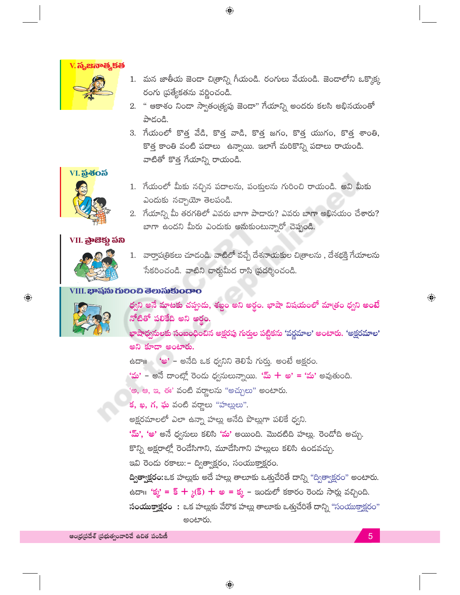

1. మన జాతీయ జెండా చిత్రాన్ని గీయండి. రంగులు వేయండి. జెండాలోని ఒక్కొక్క రంగు (పత్యేకతను వర్ణించండి.

 $\bigoplus$ 

- 2. " ఆకాశం నిండా స్వాతం(త్యపు జెండా" గేయాన్ని అందరు కలసి అభినయంతో పాదండి.
- 3. గేయంలో కొత్త వేడి, కొత్త వాడి, కొత్త జగం, కొత్త యుగం, కొత్త శాంతి, కొత్త కాంతి వంటి పదాలు ఉన్నాయి. ఇలాగే మరికొన్ని పదాలు రాయండి. వాటితో కొత్త గేయాన్ని రాయండి.



- 1. గేయంలో మీకు నచ్చిన పదాలను, పంక్తులను గురించి రాయండి. అవి మీకు ఎందుకు నచ్చాయో తెలపండి.
- 2. గేయాన్ని మీ తరగతిలో ఎవరు బాగా పాదారు? ఎవరు బాగా అభినయం చేశారు? బాగా ఉందని మీరు ఎందుకు అనుకుంటున్నారో చెప్పండి.

### VII. <mark>බුංසි</mark>ඡු බිහි



1. వార్తాపత్రికలు చూడండి. వాటిలో వచ్చే దేశనాయకుల చిత్రాలను , దేశభక్తి గేయాలను సేకరించండి. వాటిని చార్హమీద రాసి (పదర్శించండి.

#### VIII. **ಭಾ**షను గులించి తెలుసుకుందాం



 $\bigoplus$ 

ధ్వని అనే మాటకు చప్పుడు, శబ్దం అని అర్థం. భాషా విషయంలో మాత్రం ధ్వని అంటే నోటితో పలికేది అని అర్థం.

<mark>భాషాధ్వసులకు సంబంధించి</mark>న అక్షరపు గుర్తుల పట్టికను 'వర్ణమాల' అంటారు. 'అక్షరమాల' అని కూడా అంటారు.

ఉదా॥ 'అ' – అనేది ఒక ధ్వనిని తెలిపే గుర్తు. అంటే అక్షరం.

'మ' – అనే దాంట్లో రెండు ధ్వనులున్నాయి. '<mark>మ్ + అ' = 'మ'</mark> అవుతుంది.

'అ, ఆ, ఇ, ఈ' వంటి వర్ణాలను "అచ్చులు" అంటారు.

క, ఖ, గ, ఘ వంటి వర్ణాలు "హల్లులు".

అక్షరమాలలో ఎలా ఉన్నా హల్లు అనేది పొల్లుగా పలికే ధ్వని.

'మ్', 'అ' అనే ధ్వనులు కలిసి 'మ' అయింది. మొదటిది హల్లు. రెండోది అచ్చు.

కొన్ని అక్షరాల్లో రెండేసిగాని, మూడేసిగాని హల్లులు కలిసి ఉందవచ్చు.

ఇవి రెండు రకాలు: - ద్విత్వాక్షరం, సంయుక్తాక్షరం.

ద్విత్వా<mark>క్షరం:</mark>ఒక హల్లుకు అదే హల్లు తాలూకు ఒత్తుచేరితే దాన్ని "ద్విత్వాక్షరం" అంటారు.

ఉదా $\mathfrak{g}$ : 'క్మ' = క్ +  $\chi$ (క్) + అ = క్మ – ఇందులో కకారం రెందు సార్లు వచ్చింది.

సంయుక్తాక్షరం: ఒక హల్లుకు వేరొక హల్లు తాలూకు ఒత్తచేరితే దాన్ని "సంయుక్తాక్షరం" అంటారు.

ఆంధ్రప్రదేశ్ (పభుత్వంవారిచే ఉచిత పంపిణీ

5